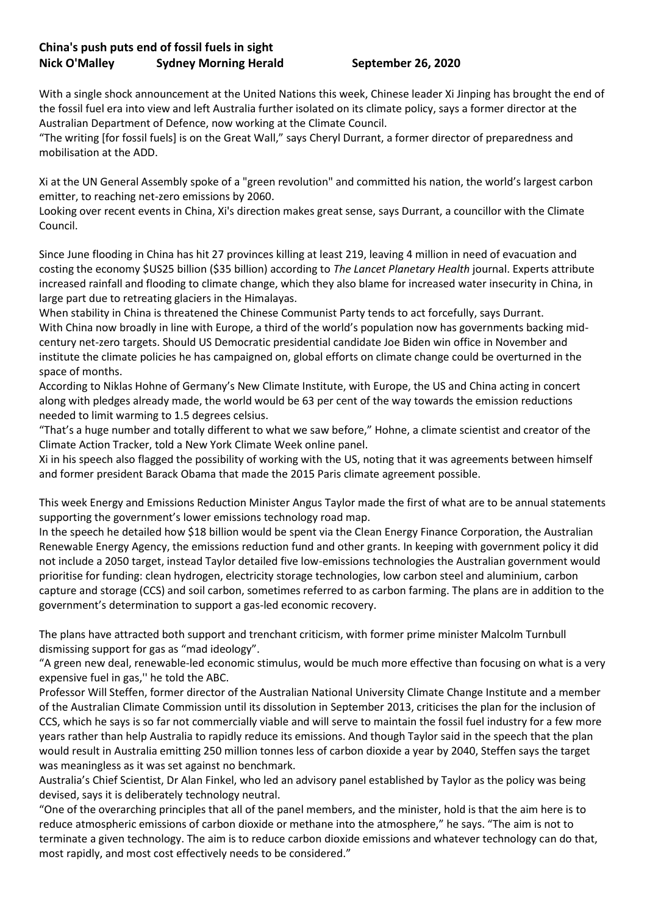## **China's push puts end of fossil fuels in sight Nick O'Malley Sydney Morning Herald September 26, 2020**

With a single shock announcement at the United Nations this week, Chinese leader Xi Jinping has brought the end of the fossil fuel era into view and left Australia further isolated on its climate policy, says a former director at the Australian Department of Defence, now working at the Climate Council.

"The writing [for fossil fuels] is on the Great Wall," says Cheryl Durrant, a former director of preparedness and mobilisation at the ADD.

Xi at the UN General Assembly spoke of a "green revolution" and committed his nation, the world's largest carbon emitter, to reaching net-zero emissions by 2060.

Looking over recent events in China, Xi's direction makes great sense, says Durrant, a councillor with the Climate Council.

Since June flooding in China has hit 27 provinces killing at least 219, leaving 4 million in need of evacuation and costing the economy \$US25 billion (\$35 billion) according to *The Lancet Planetary Health* journal. Experts attribute increased rainfall and flooding to climate change, which they also blame for increased water insecurity in China, in large part due to retreating glaciers in the Himalayas.

When stability in China is threatened the Chinese Communist Party tends to act forcefully, says Durrant. With China now broadly in line with Europe, a third of the world's population now has governments backing midcentury net-zero targets. Should US Democratic presidential candidate Joe Biden win office in November and institute the climate policies he has campaigned on, global efforts on climate change could be overturned in the space of months.

According to Niklas Hohne of Germany's New Climate Institute, with Europe, the US and China acting in concert along with pledges already made, the world would be 63 per cent of the way towards the emission reductions needed to limit warming to 1.5 degrees celsius.

"That's a huge number and totally different to what we saw before," Hohne, a climate scientist and creator of the Climate Action Tracker, told a New York Climate Week online panel.

Xi in his speech also flagged the possibility of working with the US, noting that it was agreements between himself and former president Barack Obama that made the 2015 Paris climate agreement possible.

This week Energy and Emissions Reduction Minister Angus Taylor made the first of what are to be annual statements supporting the government's lower emissions technology road map.

In the speech he detailed how \$18 billion would be spent via the Clean Energy Finance Corporation, the Australian Renewable Energy Agency, the emissions reduction fund and other grants. In keeping with government policy it did not include a 2050 target, instead Taylor detailed five low-emissions technologies the Australian government would prioritise for funding: clean hydrogen, electricity storage technologies, low carbon steel and aluminium, carbon capture and storage (CCS) and soil carbon, sometimes referred to as carbon farming. The plans are in addition to the government's determination to support a gas-led economic recovery.

The plans have attracted both support and trenchant criticism, with former prime minister Malcolm Turnbull dismissing support for gas as "mad ideology".

"A green new deal, renewable-led economic stimulus, would be much more effective than focusing on what is a very expensive fuel in gas,'' he told the ABC.

Professor Will Steffen, former director of the Australian National University Climate Change Institute and a member of the Australian Climate Commission until its dissolution in September 2013, criticises the plan for the inclusion of CCS, which he says is so far not commercially viable and will serve to maintain the fossil fuel industry for a few more years rather than help Australia to rapidly reduce its emissions. And though Taylor said in the speech that the plan would result in Australia emitting 250 million tonnes less of carbon dioxide a year by 2040, Steffen says the target was meaningless as it was set against no benchmark.

Australia's Chief Scientist, Dr Alan Finkel, who led an advisory panel established by Taylor as the policy was being devised, says it is deliberately technology neutral.

"One of the overarching principles that all of the panel members, and the minister, hold is that the aim here is to reduce atmospheric emissions of carbon dioxide or methane into the atmosphere," he says. "The aim is not to terminate a given technology. The aim is to reduce carbon dioxide emissions and whatever technology can do that, most rapidly, and most cost effectively needs to be considered."